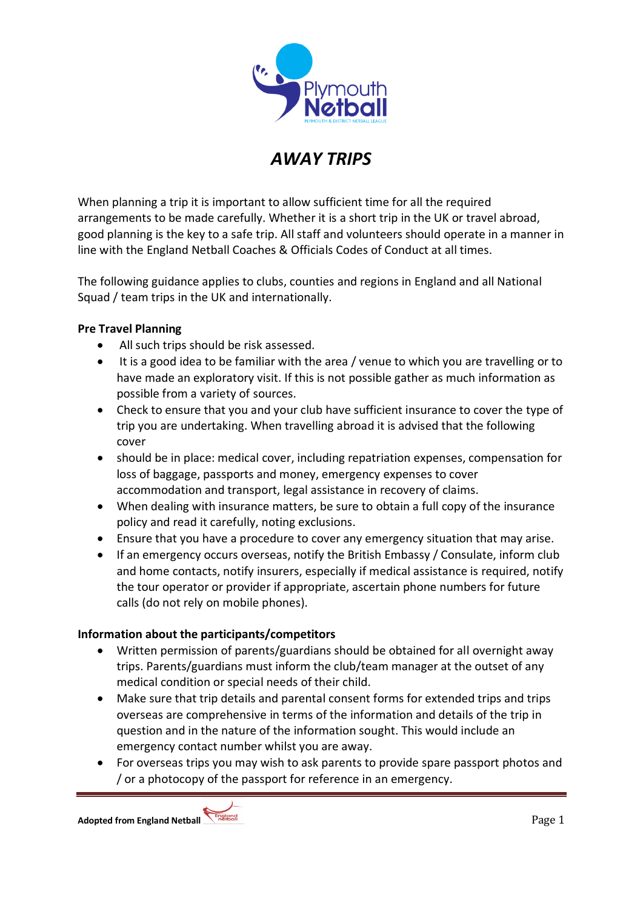

# *AWAY TRIPS*

When planning a trip it is important to allow sufficient time for all the required arrangements to be made carefully. Whether it is a short trip in the UK or travel abroad, good planning is the key to a safe trip. All staff and volunteers should operate in a manner in line with the England Netball Coaches & Officials Codes of Conduct at all times.

The following guidance applies to clubs, counties and regions in England and all National Squad / team trips in the UK and internationally.

## **Pre Travel Planning**

- All such trips should be risk assessed.
- It is a good idea to be familiar with the area / venue to which you are travelling or to have made an exploratory visit. If this is not possible gather as much information as possible from a variety of sources.
- Check to ensure that you and your club have sufficient insurance to cover the type of trip you are undertaking. When travelling abroad it is advised that the following cover
- should be in place: medical cover, including repatriation expenses, compensation for loss of baggage, passports and money, emergency expenses to cover accommodation and transport, legal assistance in recovery of claims.
- When dealing with insurance matters, be sure to obtain a full copy of the insurance policy and read it carefully, noting exclusions.
- Ensure that you have a procedure to cover any emergency situation that may arise.
- If an emergency occurs overseas, notify the British Embassy / Consulate, inform club and home contacts, notify insurers, especially if medical assistance is required, notify the tour operator or provider if appropriate, ascertain phone numbers for future calls (do not rely on mobile phones).

## **Information about the participants/competitors**

- Written permission of parents/guardians should be obtained for all overnight away trips. Parents/guardians must inform the club/team manager at the outset of any medical condition or special needs of their child.
- Make sure that trip details and parental consent forms for extended trips and trips overseas are comprehensive in terms of the information and details of the trip in question and in the nature of the information sought. This would include an emergency contact number whilst you are away.
- For overseas trips you may wish to ask parents to provide spare passport photos and / or a photocopy of the passport for reference in an emergency.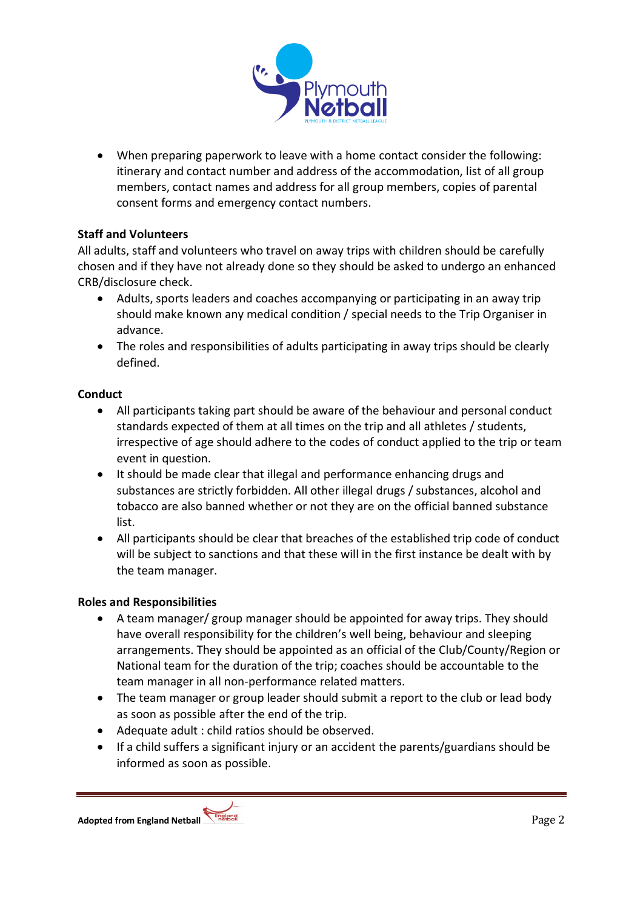

 When preparing paperwork to leave with a home contact consider the following: itinerary and contact number and address of the accommodation, list of all group members, contact names and address for all group members, copies of parental consent forms and emergency contact numbers.

## **Staff and Volunteers**

All adults, staff and volunteers who travel on away trips with children should be carefully chosen and if they have not already done so they should be asked to undergo an enhanced CRB/disclosure check.

- Adults, sports leaders and coaches accompanying or participating in an away trip should make known any medical condition / special needs to the Trip Organiser in advance.
- The roles and responsibilities of adults participating in away trips should be clearly defined.

## **Conduct**

- All participants taking part should be aware of the behaviour and personal conduct standards expected of them at all times on the trip and all athletes / students, irrespective of age should adhere to the codes of conduct applied to the trip or team event in question.
- It should be made clear that illegal and performance enhancing drugs and substances are strictly forbidden. All other illegal drugs / substances, alcohol and tobacco are also banned whether or not they are on the official banned substance list.
- All participants should be clear that breaches of the established trip code of conduct will be subject to sanctions and that these will in the first instance be dealt with by the team manager.

## **Roles and Responsibilities**

- A team manager/ group manager should be appointed for away trips. They should have overall responsibility for the children's well being, behaviour and sleeping arrangements. They should be appointed as an official of the Club/County/Region or National team for the duration of the trip; coaches should be accountable to the team manager in all non-performance related matters.
- The team manager or group leader should submit a report to the club or lead body as soon as possible after the end of the trip.
- Adequate adult : child ratios should be observed.
- If a child suffers a significant injury or an accident the parents/guardians should be informed as soon as possible.